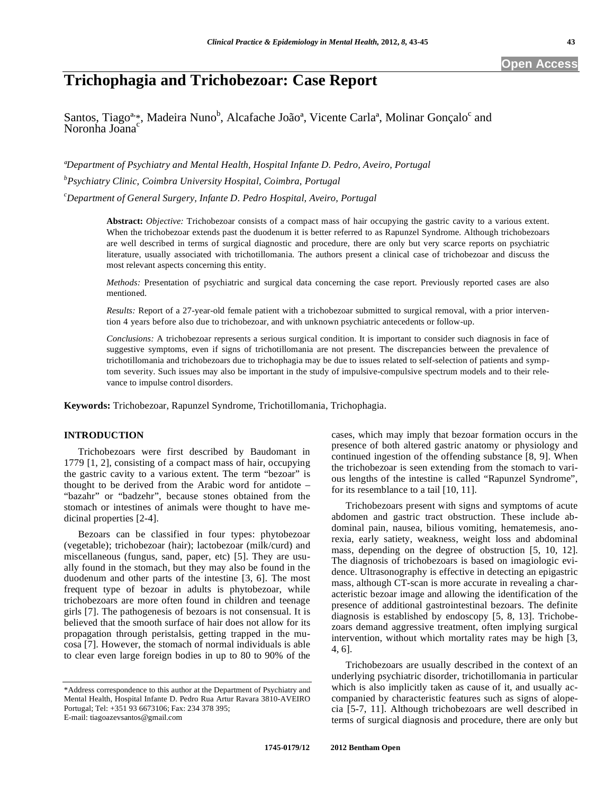# **Trichophagia and Trichobezoar: Case Report**

Santos, Tiago<sup>a,</sup>\*, Madeira Nuno<sup>b</sup>, Alcafache João<sup>a</sup>, Vicente Carla<sup>a</sup>, Molinar Gonçalo<sup>c</sup> and Noronha Joana<sup>c</sup>

*ªDepartment of Psychiatry and Mental Health, Hospital Infante D. Pedro, Aveiro, Portugal b Psychiatry Clinic, Coimbra University Hospital, Coimbra, Portugal* 

*c Department of General Surgery, Infante D. Pedro Hospital, Aveiro, Portugal* 

**Abstract:** *Objective:* Trichobezoar consists of a compact mass of hair occupying the gastric cavity to a various extent. When the trichobezoar extends past the duodenum it is better referred to as Rapunzel Syndrome. Although trichobezoars are well described in terms of surgical diagnostic and procedure, there are only but very scarce reports on psychiatric literature, usually associated with trichotillomania. The authors present a clinical case of trichobezoar and discuss the most relevant aspects concerning this entity.

*Methods:* Presentation of psychiatric and surgical data concerning the case report. Previously reported cases are also mentioned.

*Results:* Report of a 27-year-old female patient with a trichobezoar submitted to surgical removal, with a prior intervention 4 years before also due to trichobezoar, and with unknown psychiatric antecedents or follow-up.

*Conclusions:* A trichobezoar represents a serious surgical condition. It is important to consider such diagnosis in face of suggestive symptoms, even if signs of trichotillomania are not present. The discrepancies between the prevalence of trichotillomania and trichobezoars due to trichophagia may be due to issues related to self-selection of patients and symptom severity. Such issues may also be important in the study of impulsive-compulsive spectrum models and to their relevance to impulse control disorders.

**Keywords:** Trichobezoar, Rapunzel Syndrome, Trichotillomania, Trichophagia.

# **INTRODUCTION**

Trichobezoars were first described by Baudomant in 1779 [1, 2], consisting of a compact mass of hair, occupying the gastric cavity to a various extent. The term "bezoar" is thought to be derived from the Arabic word for antidote – "bazahr" or "badzehr", because stones obtained from the stomach or intestines of animals were thought to have medicinal properties [2-4].

Bezoars can be classified in four types: phytobezoar (vegetable); trichobezoar (hair); lactobezoar (milk/curd) and miscellaneous (fungus, sand, paper, etc) [5]. They are usually found in the stomach, but they may also be found in the duodenum and other parts of the intestine [3, 6]. The most frequent type of bezoar in adults is phytobezoar, while trichobezoars are more often found in children and teenage girls [7]. The pathogenesis of bezoars is not consensual. It is believed that the smooth surface of hair does not allow for its propagation through peristalsis, getting trapped in the mucosa [7]. However, the stomach of normal individuals is able to clear even large foreign bodies in up to 80 to 90% of the

cases, which may imply that bezoar formation occurs in the presence of both altered gastric anatomy or physiology and continued ingestion of the offending substance [8, 9]. When the trichobezoar is seen extending from the stomach to various lengths of the intestine is called "Rapunzel Syndrome", for its resemblance to a tail [10, 11].

Trichobezoars present with signs and symptoms of acute abdomen and gastric tract obstruction. These include abdominal pain, nausea, bilious vomiting, hematemesis, anorexia, early satiety, weakness, weight loss and abdominal mass, depending on the degree of obstruction [5, 10, 12]. The diagnosis of trichobezoars is based on imagiologic evidence. Ultrasonography is effective in detecting an epigastric mass, although CT-scan is more accurate in revealing a characteristic bezoar image and allowing the identification of the presence of additional gastrointestinal bezoars. The definite diagnosis is established by endoscopy [5, 8, 13]. Trichobezoars demand aggressive treatment, often implying surgical intervention, without which mortality rates may be high [3, 4, 6].

Trichobezoars are usually described in the context of an underlying psychiatric disorder, trichotillomania in particular which is also implicitly taken as cause of it, and usually accompanied by characteristic features such as signs of alopecia [5-7, 11]. Although trichobezoars are well described in terms of surgical diagnosis and procedure, there are only but

<sup>\*</sup>Address correspondence to this author at the Department of Psychiatry and Mental Health, Hospital Infante D. Pedro Rua Artur Ravara 3810-AVEIRO Portugal; Tel: +351 93 6673106; Fax: 234 378 395; E-mail: tiagoazevsantos@gmail.com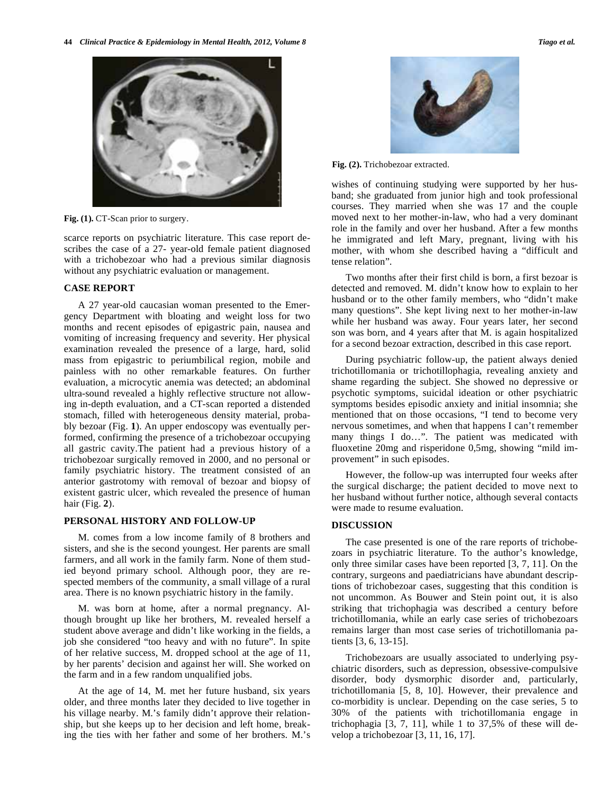

Fig. (1). CT-Scan prior to surgery.

scarce reports on psychiatric literature. This case report describes the case of a 27- year-old female patient diagnosed with a trichobezoar who had a previous similar diagnosis without any psychiatric evaluation or management.

# **CASE REPORT**

A 27 year-old caucasian woman presented to the Emergency Department with bloating and weight loss for two months and recent episodes of epigastric pain, nausea and vomiting of increasing frequency and severity. Her physical examination revealed the presence of a large, hard, solid mass from epigastric to periumbilical region, mobile and painless with no other remarkable features. On further evaluation, a microcytic anemia was detected; an abdominal ultra-sound revealed a highly reflective structure not allowing in-depth evaluation, and a CT-scan reported a distended stomach, filled with heterogeneous density material, probably bezoar (Fig. **1**). An upper endoscopy was eventually performed, confirming the presence of a trichobezoar occupying all gastric cavity.The patient had a previous history of a trichobezoar surgically removed in 2000, and no personal or family psychiatric history. The treatment consisted of an anterior gastrotomy with removal of bezoar and biopsy of existent gastric ulcer, which revealed the presence of human hair (Fig. **2**).

# **PERSONAL HISTORY AND FOLLOW-UP**

M. comes from a low income family of 8 brothers and sisters, and she is the second youngest. Her parents are small farmers, and all work in the family farm. None of them studied beyond primary school. Although poor, they are respected members of the community, a small village of a rural area. There is no known psychiatric history in the family.

M. was born at home, after a normal pregnancy. Although brought up like her brothers, M. revealed herself a student above average and didn't like working in the fields, a job she considered "too heavy and with no future". In spite of her relative success, M. dropped school at the age of 11, by her parents' decision and against her will. She worked on the farm and in a few random unqualified jobs.

At the age of 14, M. met her future husband, six years older, and three months later they decided to live together in his village nearby. M.'s family didn't approve their relationship, but she keeps up to her decision and left home, breaking the ties with her father and some of her brothers. M.'s



**Fig. (2).** Trichobezoar extracted.

wishes of continuing studying were supported by her husband; she graduated from junior high and took professional courses. They married when she was 17 and the couple moved next to her mother-in-law, who had a very dominant role in the family and over her husband. After a few months he immigrated and left Mary, pregnant, living with his mother, with whom she described having a "difficult and tense relation".

Two months after their first child is born, a first bezoar is detected and removed. M. didn't know how to explain to her husband or to the other family members, who "didn't make many questions". She kept living next to her mother-in-law while her husband was away. Four years later, her second son was born, and 4 years after that M. is again hospitalized for a second bezoar extraction, described in this case report.

During psychiatric follow-up, the patient always denied trichotillomania or trichotillophagia, revealing anxiety and shame regarding the subject. She showed no depressive or psychotic symptoms, suicidal ideation or other psychiatric symptoms besides episodic anxiety and initial insomnia; she mentioned that on those occasions, "I tend to become very nervous sometimes, and when that happens I can't remember many things I do…". The patient was medicated with fluoxetine 20mg and risperidone 0,5mg, showing "mild improvement" in such episodes.

However, the follow-up was interrupted four weeks after the surgical discharge; the patient decided to move next to her husband without further notice, although several contacts were made to resume evaluation.

## **DISCUSSION**

The case presented is one of the rare reports of trichobezoars in psychiatric literature. To the author's knowledge, only three similar cases have been reported [3, 7, 11]. On the contrary, surgeons and paediatricians have abundant descriptions of trichobezoar cases, suggesting that this condition is not uncommon. As Bouwer and Stein point out, it is also striking that trichophagia was described a century before trichotillomania, while an early case series of trichobezoars remains larger than most case series of trichotillomania patients [3, 6, 13-15].

Trichobezoars are usually associated to underlying psychiatric disorders, such as depression, obsessive-compulsive disorder, body dysmorphic disorder and, particularly, trichotillomania [5, 8, 10]. However, their prevalence and co-morbidity is unclear. Depending on the case series, 5 to 30% of the patients with trichotillomania engage in trichophagia  $[3, 7, 11]$ , while 1 to  $37.5\%$  of these will develop a trichobezoar [3, 11, 16, 17].